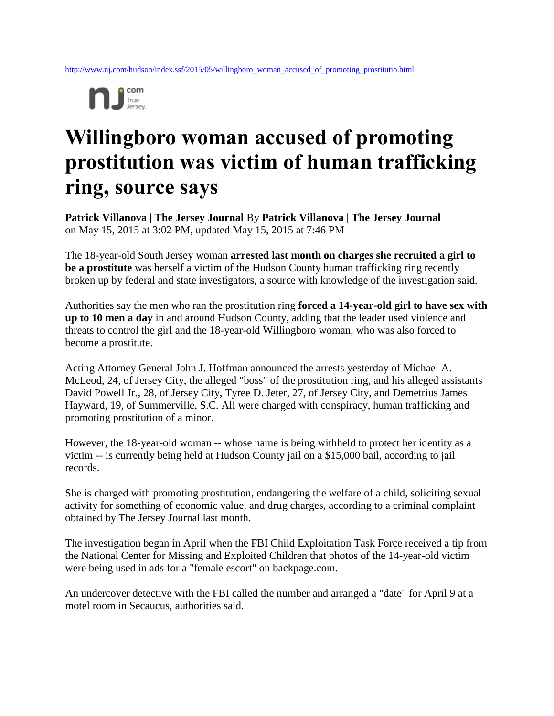

## **Willingboro woman accused of promoting prostitution was victim of human trafficking ring, source says**

**Patrick Villanova | The Jersey Journal** By **Patrick Villanova | The Jersey Journal**  on May 15, 2015 at 3:02 PM, updated May 15, 2015 at 7:46 PM

The 18-year-old South Jersey woman **arrested last month on charges she recruited a girl to be a prostitute** was herself a victim of the Hudson County human trafficking ring recently broken up by federal and state investigators, a source with knowledge of the investigation said.

Authorities say the men who ran the prostitution ring **forced a 14-year-old girl to have sex with up to 10 men a day** in and around Hudson County, adding that the leader used violence and threats to control the girl and the 18-year-old Willingboro woman, who was also forced to become a prostitute.

Acting Attorney General John J. Hoffman announced the arrests yesterday of Michael A. McLeod, 24, of Jersey City, the alleged "boss" of the prostitution ring, and his alleged assistants David Powell Jr., 28, of Jersey City, Tyree D. Jeter, 27, of Jersey City, and Demetrius James Hayward, 19, of Summerville, S.C. All were charged with conspiracy, human trafficking and promoting prostitution of a minor.

However, the 18-year-old woman -- whose name is being withheld to protect her identity as a victim -- is currently being held at Hudson County jail on a \$15,000 bail, according to jail records.

She is charged with promoting prostitution, endangering the welfare of a child, soliciting sexual activity for something of economic value, and drug charges, according to a criminal complaint obtained by The Jersey Journal last month.

The investigation began in April when the FBI Child Exploitation Task Force received a tip from the National Center for Missing and Exploited Children that photos of the 14-year-old victim were being used in ads for a "female escort" on backpage.com.

An undercover detective with the FBI called the number and arranged a "date" for April 9 at a motel room in Secaucus, authorities said.